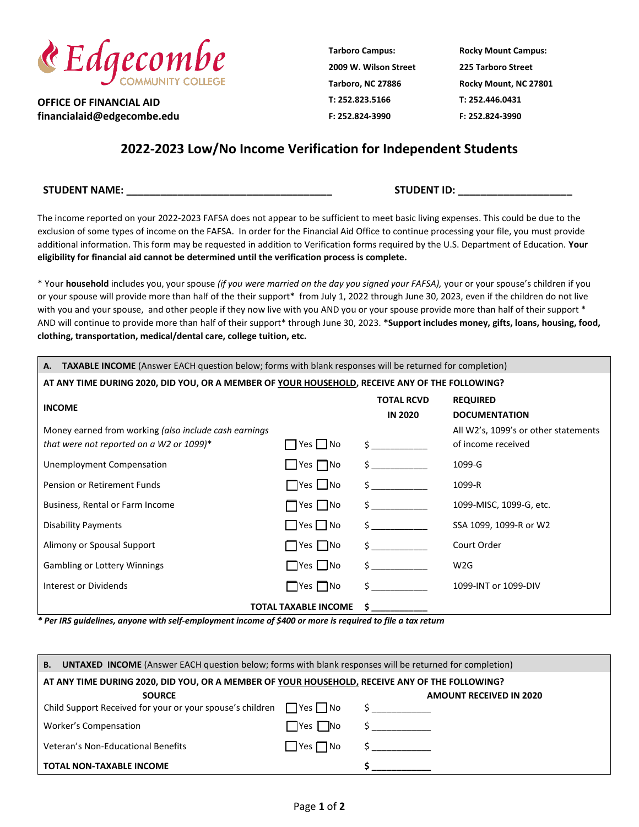

**OFFICE OF FINANCIAL AID financialaid@edgecombe.edu** **Tarboro Campus: 2009 W. Wilson Street Tarboro, NC 27886 T: 252.823.5166 F: 252.824-3990**

**Rocky Mount Campus: 225 Tarboro Street Rocky Mount, NC 27801 T: 252.446.0431 F: 252.824-3990**

## **2022-2023 Low/No Income Verification for Independent Students**

**STUDENT NAME: \_\_\_\_\_\_\_\_\_\_\_\_\_\_\_\_\_\_\_\_\_\_\_\_\_\_\_\_\_\_\_\_\_\_\_\_ STUDENT ID: \_\_\_\_\_\_\_\_\_\_\_\_\_\_\_\_\_\_\_\_**

The income reported on your 2022-2023 FAFSA does not appear to be sufficient to meet basic living expenses. This could be due to the exclusion of some types of income on the FAFSA. In order for the Financial Aid Office to continue processing your file, you must provide additional information. This form may be requested in addition to Verification forms required by the U.S. Department of Education. **Your eligibility for financial aid cannot be determined until the verification process is complete.**

\* Your **household** includes you, your spouse *(if you were married on the day you signed your FAFSA),* your or your spouse's children if you or your spouse will provide more than half of the their support\* from July 1, 2022 through June 30, 2023, even if the children do not live with you and your spouse, and other people if they now live with you AND you or your spouse provide more than half of their support \* AND will continue to provide more than half of their support\* through June 30, 2023. **\*Support includes money, gifts, loans, housing, food, clothing, transportation, medical/dental care, college tuition, etc.**

| TAXABLE INCOME (Answer EACH question below; forms with blank responses will be returned for completion)<br>А. |                             |                                                                                                                                                                                                                                                                                                  |                                         |  |
|---------------------------------------------------------------------------------------------------------------|-----------------------------|--------------------------------------------------------------------------------------------------------------------------------------------------------------------------------------------------------------------------------------------------------------------------------------------------|-----------------------------------------|--|
| AT ANY TIME DURING 2020, DID YOU, OR A MEMBER OF YOUR HOUSEHOLD, RECEIVE ANY OF THE FOLLOWING?                |                             |                                                                                                                                                                                                                                                                                                  |                                         |  |
| <b>INCOME</b>                                                                                                 |                             | <b>TOTAL RCVD</b><br><b>IN 2020</b>                                                                                                                                                                                                                                                              | <b>REQUIRED</b><br><b>DOCUMENTATION</b> |  |
| Money earned from working (also include cash earnings                                                         |                             |                                                                                                                                                                                                                                                                                                  | All W2's, 1099's or other statements    |  |
| that were not reported on a W2 or 1099)*                                                                      | $\Box$ Yes $\Box$ No        | $\mathsf{S}$ and $\mathsf{S}$                                                                                                                                                                                                                                                                    | of income received                      |  |
| Unemployment Compensation                                                                                     | $\Box$ Yes $\Box$ No        | $\mathsf{S}$ and $\mathsf{S}$                                                                                                                                                                                                                                                                    | 1099-G                                  |  |
| Pension or Retirement Funds                                                                                   | $\Box$ Yes $\Box$ No        | $\sharp$ and $\sharp$                                                                                                                                                                                                                                                                            | 1099-R                                  |  |
| Business, Rental or Farm Income                                                                               | $\Box$ Yes $\Box$ No        | $\frac{1}{2}$                                                                                                                                                                                                                                                                                    | 1099-MISC, 1099-G, etc.                 |  |
| Disability Payments                                                                                           | $\Box$ Yes $\Box$ No        | $\mathsf{S}$ and $\mathsf{S}$                                                                                                                                                                                                                                                                    | SSA 1099, 1099-R or W2                  |  |
| Alimony or Spousal Support                                                                                    | $\Box$ Yes $\Box$ No        | $\mathsf{S}$ and $\mathsf{S}$                                                                                                                                                                                                                                                                    | Court Order                             |  |
| <b>Gambling or Lottery Winnings</b>                                                                           | $\Box$ Yes $\Box$ No        | $\mathsf{\dot{S}}$                                                                                                                                                                                                                                                                               | W <sub>2</sub> G                        |  |
| Interest or Dividends                                                                                         | $\Box$ Yes $\Box$ No        | $\mathsf{S}$ and $\mathsf{S}$                                                                                                                                                                                                                                                                    | 1099-INT or 1099-DIV                    |  |
|                                                                                                               | <b>TOTAL TAXABLE INCOME</b> | $\mathsf{S}$ and $\mathsf{S}$ and $\mathsf{S}$ and $\mathsf{S}$ and $\mathsf{S}$ are $\mathsf{S}$ and $\mathsf{S}$ and $\mathsf{S}$ are $\mathsf{S}$ and $\mathsf{S}$ are $\mathsf{S}$ and $\mathsf{S}$ are $\mathsf{S}$ and $\mathsf{S}$ are $\mathsf{S}$ and $\mathsf{S}$ are $\mathsf{S}$ and |                                         |  |

*\* Per IRS guidelines, anyone with self-employment income of \$400 or more is required to file a tax return*

| <b>UNTAXED INCOME</b> (Answer EACH question below; forms with blank responses will be returned for completion)<br><b>B.</b> |                      |                                            |  |  |
|-----------------------------------------------------------------------------------------------------------------------------|----------------------|--------------------------------------------|--|--|
| AT ANY TIME DURING 2020, DID YOU, OR A MEMBER OF YOUR HOUSEHOLD, RECEIVE ANY OF THE FOLLOWING?                              |                      |                                            |  |  |
| <b>SOURCE</b>                                                                                                               |                      | <b>AMOUNT RECEIVED IN 2020</b>             |  |  |
| Child Support Received for your or your spouse's children $\Box$ Yes $\Box$ No $\Diamond$                                   |                      |                                            |  |  |
| Worker's Compensation                                                                                                       | $\Box$ Yes $\Box$ No | $\mathsf{S}$ , and the set of $\mathsf{S}$ |  |  |
| Veteran's Non-Educational Benefits                                                                                          | $\Box$ Yes $\Box$ No |                                            |  |  |
| <b>TOTAL NON-TAXABLE INCOME</b>                                                                                             |                      |                                            |  |  |